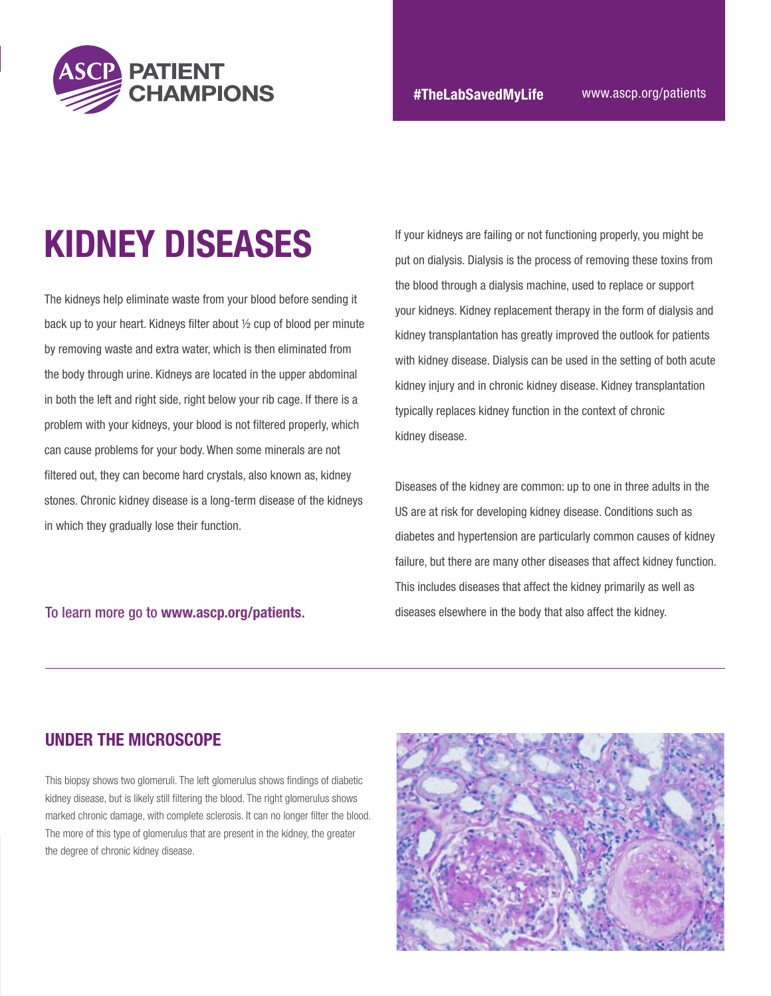

# KIDNEY DISEASES

The kidneys help eliminate waste from your blood before sending it back up to your heart. Kidneys filter about ½ cup of blood per minute by removing waste and extra water, which is then eliminated from the body through urine. Kidneys are located in the upper abdominal in both the left and right side, right below your rib cage. If there is a problem with your kidneys, your blood is not filtered properly, which can cause problems for your body. When some minerals are not filtered out, they can become hard crystals, also known as, kidney stones. Chronic kidney disease is a long-term disease of the kidneys in which they gradually lose their function.

If your kidneys are failing or not functioning properly, you might be put on dialysis. Dialysis is the process of removing these toxins from the blood through a dialysis machine, used to replace or support your kidneys. Kidney replacement therapy in the form of dialysis and kidney transplantation has greatly improved the outlook for patients with kidney disease. Dialysis can be used in the setting of both acute kidney injury and in chronic kidney disease. Kidney transplantation typically replaces kidney function in the context of chronic kidney disease.

Diseases of the kidney are common: up to one in three adults in the US are at risk for developing kidney disease. Conditions such as diabetes and hypertension are particularly common causes of kidney failure, but there are many other diseases that affect kidney function. This includes diseases that affect the kidney primarily as well as To learn more go to [www.ascp.org/patients](https://www.ascp.org/content/patient-champion). diseases elsewhere in the body that also affect the kidney.

#### UNDER THE MICROSCOPE

This biopsy shows two glomeruli. The left glomerulus shows findings of diabetic kidney disease, but is likely still filtering the blood. The right glomerulus shows marked chronic damage, with complete sclerosis. It can no longer filter the blood. The more of this type of glomerulus that are present in the kidney, the greater the degree of chronic kidney disease.

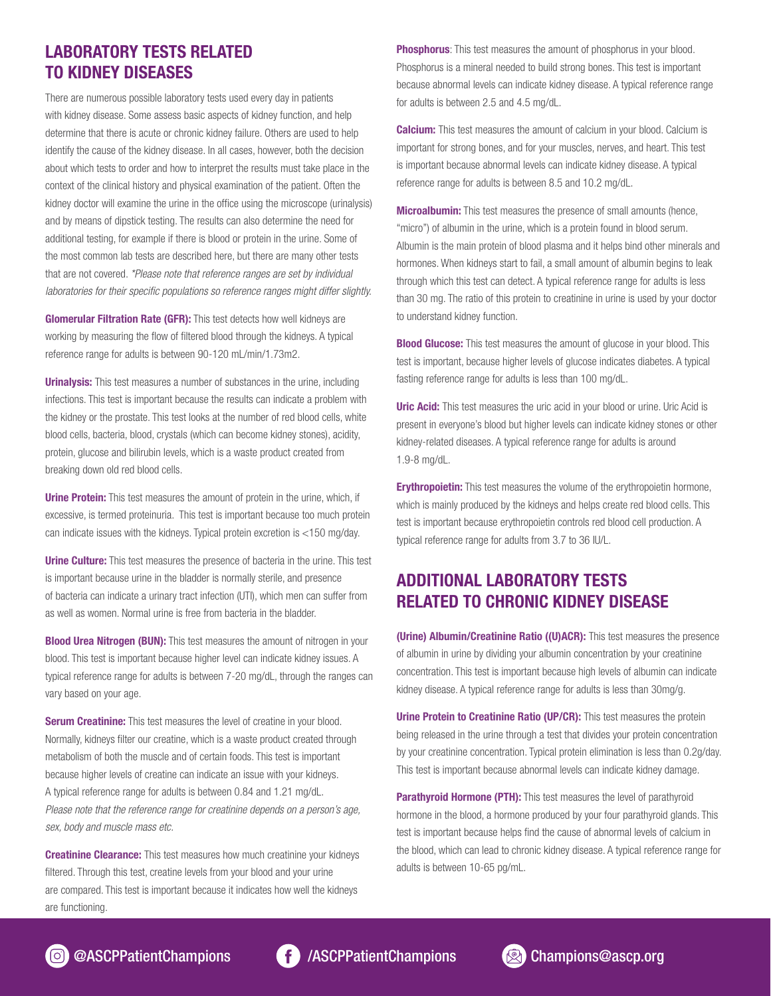#### LABORATORY TESTS RELATED TO KIDNEY DISEASES

There are numerous possible laboratory tests used every day in patients with kidney disease. Some assess basic aspects of kidney function, and help determine that there is acute or chronic kidney failure. Others are used to help identify the cause of the kidney disease. In all cases, however, both the decision about which tests to order and how to interpret the results must take place in the context of the clinical history and physical examination of the patient. Often the kidney doctor will examine the urine in the office using the microscope (urinalysis) and by means of dipstick testing. The results can also determine the need for additional testing, for example if there is blood or protein in the urine. Some of the most common lab tests are described here, but there are many other tests that are not covered. *\*Please note that reference ranges are set by individual laboratories for their specific populations so reference ranges might differ slightly.*

**Glomerular Filtration Rate (GFR):** This test detects how well kidneys are working by measuring the flow of filtered blood through the kidneys. A typical reference range for adults is between 90-120 mL/min/1.73m2.

**Urinalysis:** This test measures a number of substances in the urine, including infections. This test is important because the results can indicate a problem with the kidney or the prostate. This test looks at the number of red blood cells, white blood cells, bacteria, blood, crystals (which can become kidney stones), acidity, protein, glucose and bilirubin levels, which is a waste product created from breaking down old red blood cells.

Urine Protein: This test measures the amount of protein in the urine, which, if excessive, is termed proteinuria. This test is important because too much protein can indicate issues with the kidneys. Typical protein excretion is <150 mg/day.

Urine Culture: This test measures the presence of bacteria in the urine. This test is important because urine in the bladder is normally sterile, and presence of bacteria can indicate a urinary tract infection (UTI), which men can suffer from as well as women. Normal urine is free from bacteria in the bladder.

**Blood Urea Nitrogen (BUN):** This test measures the amount of nitrogen in your blood. This test is important because higher level can indicate kidney issues. A typical reference range for adults is between 7-20 mg/dL, through the ranges can vary based on your age.

**Serum Creatinine:** This test measures the level of creatine in your blood. Normally, kidneys filter our creatine, which is a waste product created through metabolism of both the muscle and of certain foods. This test is important because higher levels of creatine can indicate an issue with your kidneys. A typical reference range for adults is between 0.84 and 1.21 mg/dL. *Please note that the reference range for creatinine depends on a person's age, sex, body and muscle mass etc.*

**Creatinine Clearance:** This test measures how much creatinine your kidneys filtered. Through this test, creatine levels from your blood and your urine are compared. This test is important because it indicates how well the kidneys are functioning.

**Phosphorus:** This test measures the amount of phosphorus in your blood. Phosphorus is a mineral needed to build strong bones. This test is important because abnormal levels can indicate kidney disease. A typical reference range for adults is between 2.5 and 4.5 mg/dL.

**Calcium:** This test measures the amount of calcium in your blood. Calcium is important for strong bones, and for your muscles, nerves, and heart. This test is important because abnormal levels can indicate kidney disease. A typical reference range for adults is between 8.5 and 10.2 mg/dL.

**Microalbumin:** This test measures the presence of small amounts (hence, "micro") of albumin in the urine, which is a protein found in blood serum. Albumin is the main protein of blood plasma and it helps bind other minerals and hormones. When kidneys start to fail, a small amount of albumin begins to leak through which this test can detect. A typical reference range for adults is less than 30 mg. The ratio of this protein to creatinine in urine is used by your doctor to understand kidney function.

**Blood Glucose:** This test measures the amount of glucose in your blood. This test is important, because higher levels of glucose indicates diabetes. A typical fasting reference range for adults is less than 100 mg/dL.

**Uric Acid:** This test measures the uric acid in your blood or urine. Uric Acid is present in everyone's blood but higher levels can indicate kidney stones or other kidney-related diseases. A typical reference range for adults is around 1.9-8 mg/dL.

**Erythropoietin:** This test measures the volume of the erythropoietin hormone, which is mainly produced by the kidneys and helps create red blood cells. This test is important because erythropoietin controls red blood cell production. A typical reference range for adults from 3.7 to 36 IU/L.

#### ADDITIONAL LABORATORY TESTS RELATED TO CHRONIC KIDNEY DISEASE

(Urine) Albumin/Creatinine Ratio ((U)ACR): This test measures the presence of albumin in urine by dividing your albumin concentration by your creatinine concentration. This test is important because high levels of albumin can indicate kidney disease. A typical reference range for adults is less than 30mg/g.

Urine Protein to Creatinine Ratio (UP/CR): This test measures the protein being released in the urine through a test that divides your protein concentration by your creatinine concentration. Typical protein elimination is less than 0.2g/day. This test is important because abnormal levels can indicate kidney damage.

Parathyroid Hormone (PTH): This test measures the level of parathyroid hormone in the blood, a hormone produced by your four parathyroid glands. This test is important because helps find the cause of abnormal levels of calcium in the blood, which can lead to chronic kidney disease. A typical reference range for adults is between 10-65 pg/mL.



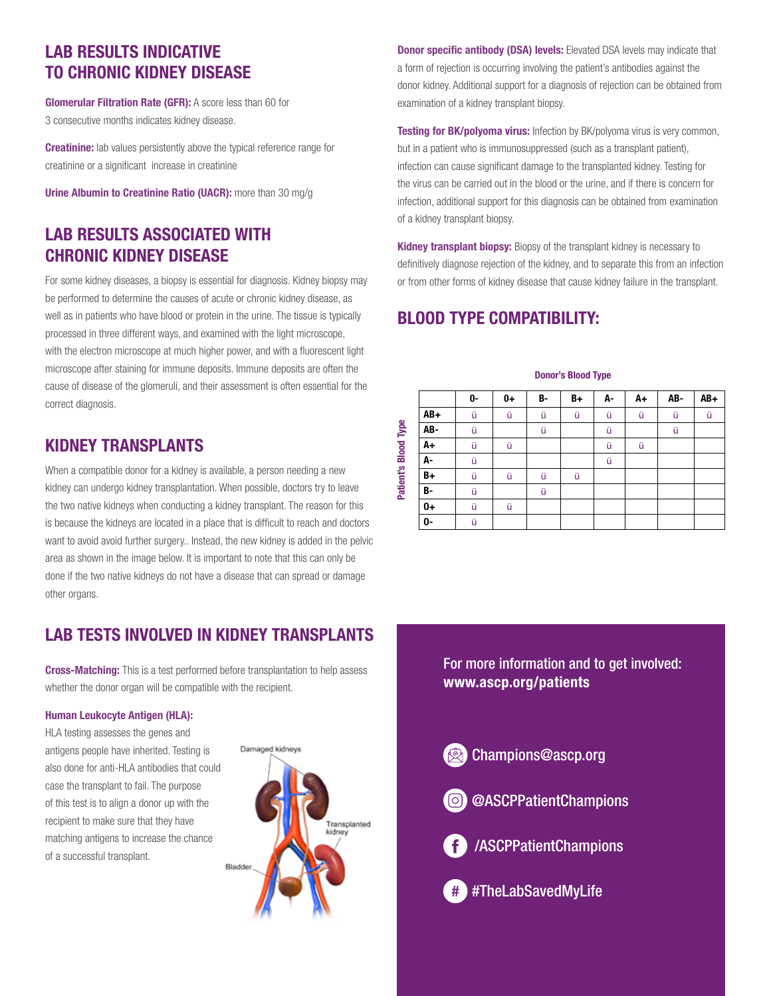### LAB RESULTS INDICATIVE TO CHRONIC KIDNEY DISEASE

Glomerular Filtration Rate (GFR): A score less than 60 for 3 consecutive months indicates kidney disease.

**Creatinine:** lab values persistently above the typical reference range for creatinine or a significant increase in creatinine

Urine Albumin to Creatinine Ratio (UACR): more than 30 mg/g

### LAB RESULTS ASSOCIATED WITH CHRONIC KIDNEY DISEASE

For some kidney diseases, a biopsy is essential for diagnosis. Kidney biopsy may be performed to determine the causes of acute or chronic kidney disease, as well as in patients who have blood or protein in the urine. The tissue is typically processed in three different ways, and examined with the light microscope, with the electron microscope at much higher power, and with a fluorescent light microscope after staining for immune deposits. Immune deposits are often the cause of disease of the glomeruli, and their assessment is often essential for the correct diagnosis.

#### KIDNEY TRANSPLANTS

When a compatible donor for a kidney is available, a person needing a new kidney can undergo kidney transplantation. When possible, doctors try to leave the two native kidneys when conducting a kidney transplant. The reason for this is because the kidneys are located in a place that is difficult to reach and doctors want to avoid avoid further surgery.. Instead, the new kidney is added in the pelvic area as shown in the image below. It is important to note that this can only be done if the two native kidneys do not have a disease that can spread or damage other organs.

### LAB TESTS INVOLVED IN KIDNEY TRANSPLANTS

**Cross-Matching:** This is a test performed before transplantation to help assess whether the donor organ will be compatible with the recipient.

#### Human Leukocyte Antigen (HLA):

HLA testing assesses the genes and antigens people have inherited. Testing is also done for anti-HLA antibodies that could case the transplant to fail. The purpose of this test is to align a donor up with the recipient to make sure that they have matching antigens to increase the chance of a successful transplant.



**Donor specific antibody (DSA) levels:** Elevated DSA levels may indicate that a form of rejection is occurring involving the patient's antibodies against the donor kidney. Additional support for a diagnosis of rejection can be obtained from examination of a kidney transplant biopsy.

Testing for BK/polyoma virus: Infection by BK/polyoma virus is very common, but in a patient who is immunosuppressed (such as a transplant patient), infection can cause significant damage to the transplanted kidney. Testing for the virus can be carried out in the blood or the urine, and if there is concern for infection, additional support for this diagnosis can be obtained from examination of a kidney transplant biopsy.

Kidney transplant biopsy: Biopsy of the transplant kidney is necessary to definitively diagnose rejection of the kidney, and to separate this from an infection or from other forms of kidney disease that cause kidney failure in the transplant.

### BLOOD TYPE COMPATIBILITY:

|           | 0- | $0+$ | B- | B+ | А- | A+ | AB- | AB+ |
|-----------|----|------|----|----|----|----|-----|-----|
| AB+       | ü  | ü    | ü  | ü  | ü  | ü  | ü   | ü   |
| AB-       | ü  |      | ü  |    | ü  |    | ü   |     |
| A+        | ü  | ü    |    |    | ü  | ü  |     |     |
| А-        | ü  |      |    |    | ü  |    |     |     |
| B+        | ü  | ü    | ü  | ü  |    |    |     |     |
| <b>B-</b> | ü  |      | ü  |    |    |    |     |     |
| 0+        | ü  | ü    |    |    |    |    |     |     |
| 0-        | ü  |      |    |    |    |    |     |     |

Donor's Blood Type

For more information and to get involved: www.ascp.org/patients

[Champions@ascp.org](mailto:Champions%40ascp.org?subject=)

[@ASCPPatientChampions](https://www.instagram.com/ascppatientchampions/) 



[/ASCPPatientChampions](https://www.facebook.com/ASCPPatientChampions/)

# #TheLabSavedMyLife